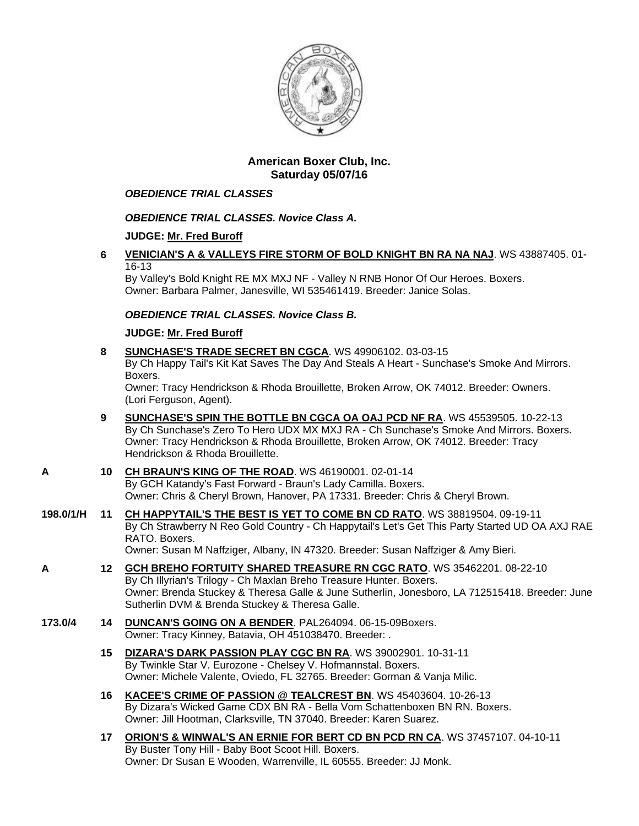

# **American Boxer Club, Inc. Saturday 05/07/16**

## *OBEDIENCE TRIAL CLASSES*

# *OBEDIENCE TRIAL CLASSES. Novice Class A.*

# **JUDGE: [Mr. Fred Buroff](http://infodog.com/show/judge/jdgprofile.htm?jn=5277)**

**6 [VENICIAN'S A & VALLEYS FIRE STORM OF BOLD KNIGHT BN RA NA NAJ](http://infodog.com/my/drlookup2.htm?makc=WS%2043887405&mdog=Venician%27s+A+&+Valleys+Fire+Storm+Of+Bold+Knight+BN+RA+NA+NAJ&wins=all)**. WS 43887405. 01- 16-13

By Valley's Bold Knight RE MX MXJ NF - Valley N RNB Honor Of Our Heroes. Boxers. Owner: Barbara Palmer, Janesville, WI 535461419. Breeder: Janice Solas.

## *OBEDIENCE TRIAL CLASSES. Novice Class B.*

## **JUDGE: [Mr. Fred Buroff](http://infodog.com/show/judge/jdgprofile.htm?jn=5277)**

**8 [SUNCHASE'S TRADE SECRET BN CGCA](http://infodog.com/my/drlookup2.htm?makc=WS%2049906102&mdog=Sunchase%27s+Trade+Secret+BN+CGCA&wins=all)**. WS 49906102. 03-03-15 By Ch Happy Tail's Kit Kat Saves The Day And Steals A Heart - Sunchase's Smoke And Mirrors. Boxers. Owner: Tracy Hendrickson & Rhoda Brouillette, Broken Arrow, OK 74012. Breeder: Owners.

(Lori Ferguson, Agent).

- **9 [SUNCHASE'S SPIN THE BOTTLE BN CGCA OA OAJ PCD NF RA](http://infodog.com/my/drlookup2.htm?makc=WS%2045539505&mdog=Sunchase%27s+Spin+The+Bottle+BN+CGCA+OA+OAJ+PCD+NF+RA&wins=all)**. WS 45539505. 10-22-13 By Ch Sunchase's Zero To Hero UDX MX MXJ RA - Ch Sunchase's Smoke And Mirrors. Boxers. Owner: Tracy Hendrickson & Rhoda Brouillette, Broken Arrow, OK 74012. Breeder: Tracy Hendrickson & Rhoda Brouillette.
- **A 10 [CH BRAUN'S KING OF THE ROAD](http://infodog.com/my/drlookup2.htm?makc=WS%2046190001&mdog=Ch+Braun%27s+King+Of+The+Road&wins=all)**. WS 46190001. 02-01-14 By GCH Katandy's Fast Forward - Braun's Lady Camilla. Boxers. Owner: Chris & Cheryl Brown, Hanover, PA 17331. Breeder: Chris & Cheryl Brown.
- **198.0/1/H 11 [CH HAPPYTAIL'S THE BEST IS YET TO COME BN CD RATO](http://infodog.com/my/drlookup2.htm?makc=WS%2038819504&mdog=Ch+Happytail%27s+The+Best+Is+Yet+To+Come+BN+CD+RATO&wins=all)**. WS 38819504. 09-19-11 By Ch Strawberry N Reo Gold Country - Ch Happytail's Let's Get This Party Started UD OA AXJ RAE RATO. Boxers. Owner: Susan M Naffziger, Albany, IN 47320. Breeder: Susan Naffziger & Amy Bieri.
- **A 12 [GCH BREHO FORTUITY SHARED TREASURE RN CGC RATO](http://infodog.com/my/drlookup2.htm?makc=WS%2035462201&mdog=GCH+Breho+Fortuity+Shared+Treasure+RN+CGC+RATO&wins=all)**. WS 35462201. 08-22-10 By Ch Illyrian's Trilogy - Ch Maxlan Breho Treasure Hunter. Boxers. Owner: Brenda Stuckey & Theresa Galle & June Sutherlin, Jonesboro, LA 712515418. Breeder: June Sutherlin DVM & Brenda Stuckey & Theresa Galle.
- **173.0/4 14 [DUNCAN'S GOING ON A BENDER](http://infodog.com/my/drlookup2.htm?makc=PAL264094&mdog=Duncan%27s+Going+On+A+Bender&wins=all)**. PAL264094. 06-15-09Boxers. Owner: Tracy Kinney, Batavia, OH 451038470. Breeder: .
	- **15 [DIZARA'S DARK PASSION PLAY CGC BN RA](http://infodog.com/my/drlookup2.htm?makc=WS%2039002901&mdog=Dizara%27s+Dark+Passion+Play+CGC+BN+RA&wins=all)**. WS 39002901. 10-31-11 By Twinkle Star V. Eurozone - Chelsey V. Hofmannstal. Boxers. Owner: Michele Valente, Oviedo, FL 32765. Breeder: Gorman & Vanja Milic.
	- **16 [KACEE'S CRIME OF PASSION @ TEALCREST BN](http://infodog.com/my/drlookup2.htm?makc=WS%2045403604&mdog=KaCee%27s+Crime+Of+Passion+@+Tealcrest+BN&wins=all)**. WS 45403604. 10-26-13 By Dizara's Wicked Game CDX BN RA - Bella Vom Schattenboxen BN RN. Boxers. Owner: Jill Hootman, Clarksville, TN 37040. Breeder: Karen Suarez.
	- **17 [ORION'S & WINWAL'S AN ERNIE FOR BERT CD BN PCD RN CA](http://infodog.com/my/drlookup2.htm?makc=WS%2037457107&mdog=Orion%27s+&+Winwal%27s+An+Ernie+For+Bert+CD+BN+PCD+RN+CA&wins=all)**. WS 37457107. 04-10-11 By Buster Tony Hill - Baby Boot Scoot Hill. Boxers. Owner: Dr Susan E Wooden, Warrenville, IL 60555. Breeder: JJ Monk.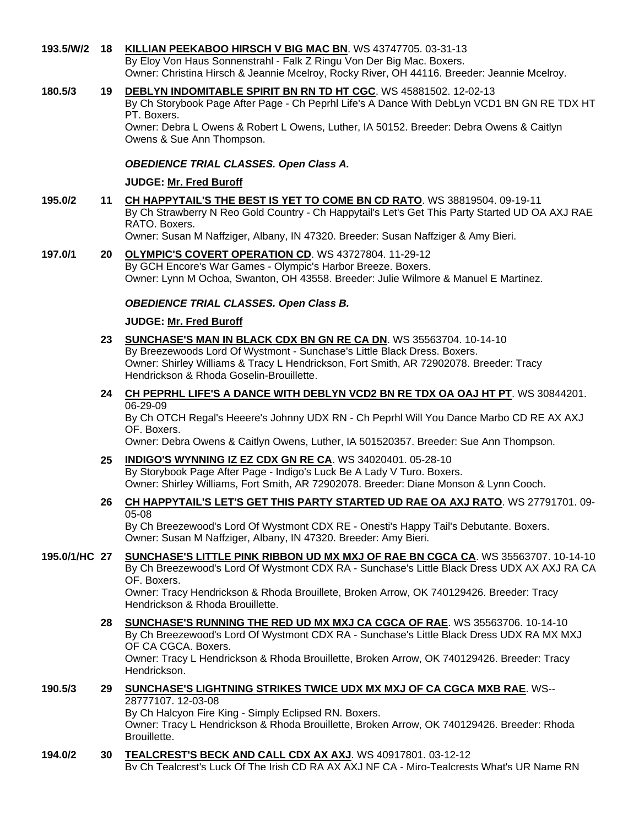#### **193.5/W/2 18 [KILLIAN PEEKABOO HIRSCH V BIG MAC BN](http://infodog.com/my/drlookup2.htm?makc=WS%2043747705&mdog=Killian+Peekaboo+Hirsch+V+Big+Mac+BN&wins=all)**. WS 43747705. 03-31-13 By Eloy Von Haus Sonnenstrahl - Falk Z Ringu Von Der Big Mac. Boxers. Owner: Christina Hirsch & Jeannie Mcelroy, Rocky River, OH 44116. Breeder: Jeannie Mcelroy.

#### **180.5/3 19 [DEBLYN INDOMITABLE SPIRIT BN RN TD HT CGC](http://infodog.com/my/drlookup2.htm?makc=WS%2045881502&mdog=DebLyn+Indomitable+Spirit+BN+RN+TD+HT+CGC&wins=all)**. WS 45881502. 12-02-13 By Ch Storybook Page After Page - Ch Peprhl Life's A Dance With DebLyn VCD1 BN GN RE TDX HT PT. Boxers. Owner: Debra L Owens & Robert L Owens, Luther, IA 50152. Breeder: Debra Owens & Caitlyn Owens & Sue Ann Thompson.

### *OBEDIENCE TRIAL CLASSES. Open Class A.*

### **JUDGE: [Mr. Fred Buroff](http://infodog.com/show/judge/jdgprofile.htm?jn=5277)**

- **195.0/2 11 [CH HAPPYTAIL'S THE BEST IS YET TO COME BN CD RATO](http://infodog.com/my/drlookup2.htm?makc=WS%2038819504&mdog=Ch+Happytail%27s+The+Best+Is+Yet+To+Come+BN+CD+RATO&wins=all)**. WS 38819504. 09-19-11 By Ch Strawberry N Reo Gold Country - Ch Happytail's Let's Get This Party Started UD OA AXJ RAE RATO. Boxers. Owner: Susan M Naffziger, Albany, IN 47320. Breeder: Susan Naffziger & Amy Bieri.
- **197.0/1 20 [OLYMPIC'S COVERT OPERATION CD](http://infodog.com/my/drlookup2.htm?makc=WS%2043727804&mdog=Olympic%27s+Covert+Operation+CD&wins=all)**. WS 43727804. 11-29-12 By GCH Encore's War Games - Olympic's Harbor Breeze. Boxers. Owner: Lynn M Ochoa, Swanton, OH 43558. Breeder: Julie Wilmore & Manuel E Martinez.

### *OBEDIENCE TRIAL CLASSES. Open Class B.*

### **JUDGE: [Mr. Fred Buroff](http://infodog.com/show/judge/jdgprofile.htm?jn=5277)**

- **23 [SUNCHASE'S MAN IN BLACK CDX BN GN RE CA DN](http://infodog.com/my/drlookup2.htm?makc=WS%2035563704&mdog=Sunchase%27s+Man+In+Black+CDX+BN+GN+RE+CA+DN&wins=all)**. WS 35563704. 10-14-10 By Breezewoods Lord Of Wystmont - Sunchase's Little Black Dress. Boxers. Owner: Shirley Williams & Tracy L Hendrickson, Fort Smith, AR 72902078. Breeder: Tracy Hendrickson & Rhoda Goselin-Brouillette.
- **24 [CH PEPRHL LIFE'S A DANCE WITH DEBLYN VCD2 BN RE TDX OA OAJ HT PT](http://infodog.com/my/drlookup2.htm?makc=WS%2030844201&mdog=Ch+Peprhl+Life%27s+A+Dance+With+DebLyn+VCD2+BN+RE+TDX+OA+OAJ+HT+PT&wins=all)**. WS 30844201. 06-29-09 By Ch OTCH Regal's Heeere's Johnny UDX RN - Ch Peprhl Will You Dance Marbo CD RE AX AXJ

OF. Boxers.

Owner: Debra Owens & Caitlyn Owens, Luther, IA 501520357. Breeder: Sue Ann Thompson.

**25 [INDIGO'S WYNNING IZ EZ CDX GN RE CA](http://infodog.com/my/drlookup2.htm?makc=WS%2034020401&mdog=Indigo%27s+Wynning+Iz+Ez+CDX+GN+RE+CA&wins=all)**. WS 34020401. 05-28-10 By Storybook Page After Page - Indigo's Luck Be A Lady V Turo. Boxers. Owner: Shirley Williams, Fort Smith, AR 72902078. Breeder: Diane Monson & Lynn Cooch.

# **26 [CH HAPPYTAIL'S LET'S GET THIS PARTY STARTED UD RAE OA AXJ RATO](http://infodog.com/my/drlookup2.htm?makc=WS%2027791701&mdog=Ch+Happytail%27s+Let%27s+Get+This+Party+Started+UD+RAE+OA+AXJ+RATO&wins=all)**. WS 27791701. 09- 05-08

By Ch Breezewood's Lord Of Wystmont CDX RE - Onesti's Happy Tail's Debutante. Boxers. Owner: Susan M Naffziger, Albany, IN 47320. Breeder: Amy Bieri.

**195.0/1/HC 27 [SUNCHASE'S LITTLE PINK RIBBON UD MX MXJ OF RAE BN CGCA CA](http://infodog.com/my/drlookup2.htm?makc=WS%2035563707&mdog=Sunchase%27s+Little+Pink+Ribbon+UD+MX+MXJ+OF+RAE+BN+CGCA+CA&wins=all)**. WS 35563707. 10-14-10 By Ch Breezewood's Lord Of Wystmont CDX RA - Sunchase's Little Black Dress UDX AX AXJ RA CA OF. Boxers.

Owner: Tracy Hendrickson & Rhoda Brouillete, Broken Arrow, OK 740129426. Breeder: Tracy Hendrickson & Rhoda Brouillette.

**28 [SUNCHASE'S RUNNING THE RED UD MX MXJ CA CGCA OF RAE](http://infodog.com/my/drlookup2.htm?makc=WS%2035563706&mdog=Sunchase%27s+Running+The+Red+UD+MX+MXJ+CA+CGCA+OF+RAE&wins=all)**. WS 35563706. 10-14-10 By Ch Breezewood's Lord Of Wystmont CDX RA - Sunchase's Little Black Dress UDX RA MX MXJ OF CA CGCA. Boxers. Owner: Tracy L Hendrickson & Rhoda Brouillette, Broken Arrow, OK 740129426. Breeder: Tracy Hendrickson.

#### **190.5/3 29 [SUNCHASE'S LIGHTNING STRIKES TWICE UDX MX MXJ OF CA CGCA MXB RAE](http://infodog.com/my/drlookup2.htm?makc=WS--28777107&mdog=Sunchase%27s+Lightning+Strikes+Twice+UDX+MX+MXJ+OF+CA+CGCA+MXB+RAE&wins=all)**. WS-- 28777107. 12-03-08 By Ch Halcyon Fire King - Simply Eclipsed RN. Boxers.

Owner: Tracy L Hendrickson & Rhoda Brouillette, Broken Arrow, OK 740129426. Breeder: Rhoda Brouillette.

**194.0/2 30 [TEALCREST'S BECK AND CALL CDX AX AXJ](http://infodog.com/my/drlookup2.htm?makc=WS%2040917801&mdog=Tealcrest%27s+Beck+And+Call+CDX+AX+AXJ&wins=all)**. WS 40917801. 03-12-12

By Ch Tealcrest's Luck Of The Irish CD RA AX AXJ NF CA - Miro-Tealcrests What's UR Name RN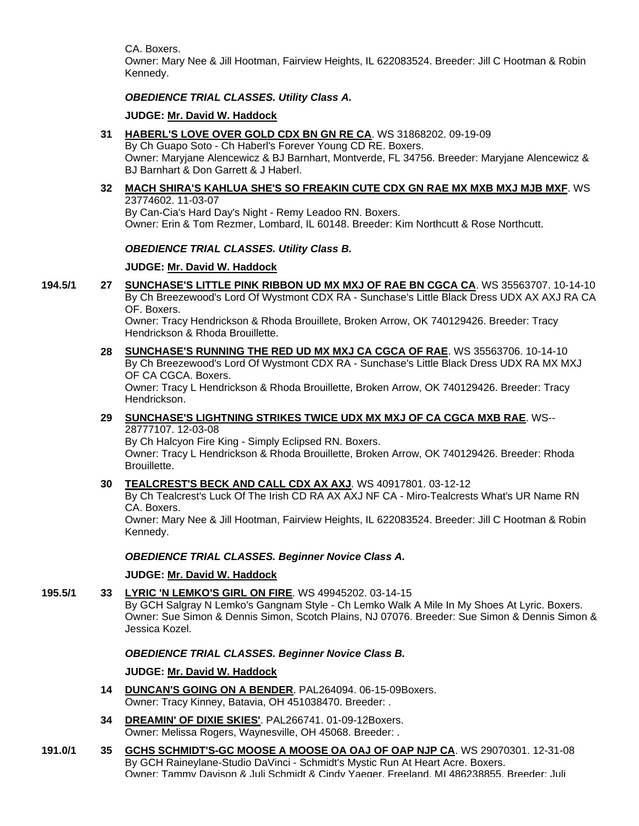CA. Boxers.

Owner: Mary Nee & Jill Hootman, Fairview Heights, IL 622083524. Breeder: Jill C Hootman & Robin Kennedy.

### *OBEDIENCE TRIAL CLASSES. Utility Class A.*

### **JUDGE: [Mr. David W. Haddock](http://infodog.com/show/judge/jdgprofile.htm?jn=18846)**

**31 [HABERL'S LOVE OVER GOLD CDX BN GN RE CA](http://infodog.com/my/drlookup2.htm?makc=WS%2031868202&mdog=Haberl%27s+Love+Over+Gold+CDX+BN+GN+RE+CA&wins=all)**. WS 31868202. 09-19-09

By Ch Guapo Soto - Ch Haberl's Forever Young CD RE. Boxers. Owner: Maryjane Alencewicz & BJ Barnhart, Montverde, FL 34756. Breeder: Maryjane Alencewicz & BJ Barnhart & Don Garrett & J Haberl.

**32 [MACH SHIRA'S KAHLUA SHE'S SO FREAKIN CUTE CDX GN RAE MX MXB MXJ MJB MXF](http://infodog.com/my/drlookup2.htm?makc=WS%2023774602&mdog=MACH+Shira%27s+Kahlua+She%27s+So+Freakin+Cute+CDX+GN+RAE+MX+MXB+MXJ+MJB+MXF&wins=all)**. WS 23774602. 11-03-07

By Can-Cia's Hard Day's Night - Remy Leadoo RN. Boxers. Owner: Erin & Tom Rezmer, Lombard, IL 60148. Breeder: Kim Northcutt & Rose Northcutt.

### *OBEDIENCE TRIAL CLASSES. Utility Class B.*

### **JUDGE: [Mr. David W. Haddock](http://infodog.com/show/judge/jdgprofile.htm?jn=18846)**

**194.5/1 27 [SUNCHASE'S LITTLE PINK RIBBON UD MX MXJ OF RAE BN CGCA CA](http://infodog.com/my/drlookup2.htm?makc=WS%2035563707&mdog=Sunchase%27s+Little+Pink+Ribbon+UD+MX+MXJ+OF+RAE+BN+CGCA+CA&wins=all)**. WS 35563707. 10-14-10 By Ch Breezewood's Lord Of Wystmont CDX RA - Sunchase's Little Black Dress UDX AX AXJ RA CA OF. Boxers.

Owner: Tracy Hendrickson & Rhoda Brouillete, Broken Arrow, OK 740129426. Breeder: Tracy Hendrickson & Rhoda Brouillette.

**28 [SUNCHASE'S RUNNING THE RED UD MX MXJ CA CGCA OF RAE](http://infodog.com/my/drlookup2.htm?makc=WS%2035563706&mdog=Sunchase%27s+Running+The+Red+UD+MX+MXJ+CA+CGCA+OF+RAE&wins=all)**. WS 35563706. 10-14-10 By Ch Breezewood's Lord Of Wystmont CDX RA - Sunchase's Little Black Dress UDX RA MX MXJ OF CA CGCA. Boxers. Owner: Tracy L Hendrickson & Rhoda Brouillette, Broken Arrow, OK 740129426. Breeder: Tracy Hendrickson.

### **29 [SUNCHASE'S LIGHTNING STRIKES TWICE UDX MX MXJ OF CA CGCA MXB RAE](http://infodog.com/my/drlookup2.htm?makc=WS--28777107&mdog=Sunchase%27s+Lightning+Strikes+Twice+UDX+MX+MXJ+OF+CA+CGCA+MXB+RAE&wins=all)**. WS-- 28777107. 12-03-08

By Ch Halcyon Fire King - Simply Eclipsed RN. Boxers. Owner: Tracy L Hendrickson & Rhoda Brouillette, Broken Arrow, OK 740129426. Breeder: Rhoda Brouillette.

**30 [TEALCREST'S BECK AND CALL CDX AX AXJ](http://infodog.com/my/drlookup2.htm?makc=WS%2040917801&mdog=Tealcrest%27s+Beck+And+Call+CDX+AX+AXJ&wins=all)**. WS 40917801. 03-12-12

By Ch Tealcrest's Luck Of The Irish CD RA AX AXJ NF CA - Miro-Tealcrests What's UR Name RN CA. Boxers.

Owner: Mary Nee & Jill Hootman, Fairview Heights, IL 622083524. Breeder: Jill C Hootman & Robin Kennedy.

*OBEDIENCE TRIAL CLASSES. Beginner Novice Class A.*

#### **JUDGE: [Mr. David W. Haddock](http://infodog.com/show/judge/jdgprofile.htm?jn=18846)**

**195.5/1 33 [LYRIC 'N LEMKO'S GIRL ON FIRE](http://infodog.com/my/drlookup2.htm?makc=WS%2049945202&mdog=Lyric+%27N+Lemko%27s+Girl+On+Fire&wins=all)**. WS 49945202. 03-14-15

By GCH Salgray N Lemko's Gangnam Style - Ch Lemko Walk A Mile In My Shoes At Lyric. Boxers. Owner: Sue Simon & Dennis Simon, Scotch Plains, NJ 07076. Breeder: Sue Simon & Dennis Simon & Jessica Kozel.

#### *OBEDIENCE TRIAL CLASSES. Beginner Novice Class B.*

#### **JUDGE: [Mr. David W. Haddock](http://infodog.com/show/judge/jdgprofile.htm?jn=18846)**

- **14 [DUNCAN'S GOING ON A BENDER](http://infodog.com/my/drlookup2.htm?makc=PAL264094&mdog=Duncan%27s+Going+On+A+Bender&wins=all)**. PAL264094. 06-15-09Boxers. Owner: Tracy Kinney, Batavia, OH 451038470. Breeder: .
- **34 [DREAMIN' OF DIXIE SKIES'](http://infodog.com/my/drlookup2.htm?makc=PAL266741&mdog=Dreamin%27+Of+Dixie+Skies%27&wins=all)**. PAL266741. 01-09-12Boxers. Owner: Melissa Rogers, Waynesville, OH 45068. Breeder: .
- **191.0/1 35 [GCHS SCHMIDT'S-GC MOOSE A MOOSE OA OAJ OF OAP NJP CA](http://infodog.com/my/drlookup2.htm?makc=WS%2029070301&mdog=GCHS+Schmidt%27s-GC+Moose+A+Moose+OA+OAJ+OF+OAP+NJP+CA&wins=all)**. WS 29070301. 12-31-08 By GCH Raineylane-Studio DaVinci - Schmidt's Mystic Run At Heart Acre. Boxers. Owner: Tammy Davison & Juli Schmidt & Cindy Yaeger, Freeland, MI 486238855. Breeder: Juli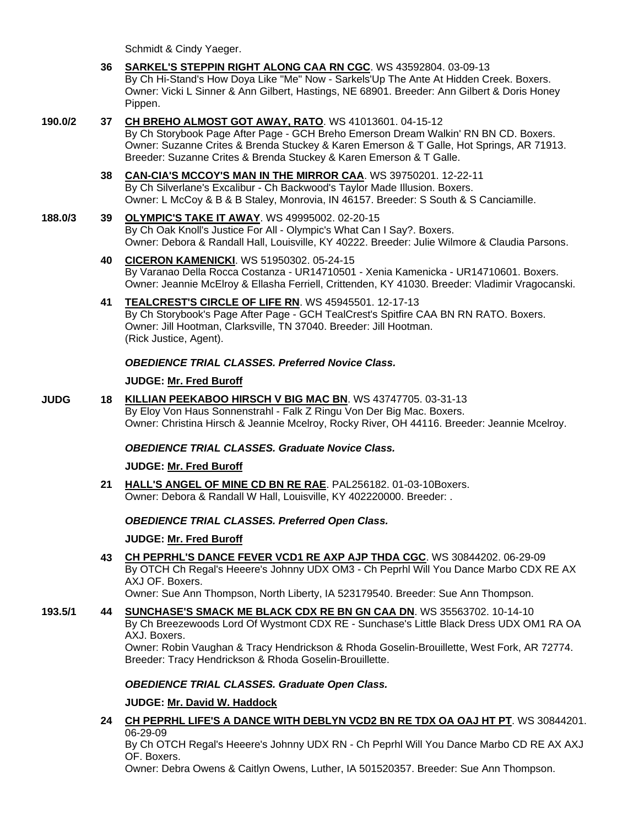Schmidt & Cindy Yaeger.

- **36 [SARKEL'S STEPPIN RIGHT ALONG CAA RN CGC](http://infodog.com/my/drlookup2.htm?makc=WS%2043592804&mdog=Sarkel%27s+Steppin+Right+Along+CAA+RN+CGC&wins=all)**. WS 43592804. 03-09-13 By Ch Hi-Stand's How Doya Like "Me" Now - Sarkels'Up The Ante At Hidden Creek. Boxers. Owner: Vicki L Sinner & Ann Gilbert, Hastings, NE 68901. Breeder: Ann Gilbert & Doris Honey Pippen.
- **190.0/2 37 [CH BREHO ALMOST GOT AWAY, RATO](http://infodog.com/my/drlookup2.htm?makc=WS%2041013601&mdog=Ch+Breho+Almost+Got+Away,+RatO&wins=all)**. WS 41013601. 04-15-12

By Ch Storybook Page After Page - GCH Breho Emerson Dream Walkin' RN BN CD. Boxers. Owner: Suzanne Crites & Brenda Stuckey & Karen Emerson & T Galle, Hot Springs, AR 71913. Breeder: Suzanne Crites & Brenda Stuckey & Karen Emerson & T Galle.

**38 [CAN-CIA'S MCCOY'S MAN IN THE MIRROR CAA](http://infodog.com/my/drlookup2.htm?makc=WS%2039750201&mdog=Can-cia%27s+McCoy%27s+Man+In+The+Mirror+CAA&wins=all)**. WS 39750201. 12-22-11 By Ch Silverlane's Excalibur - Ch Backwood's Taylor Made Illusion. Boxers. Owner: L McCoy & B & B Staley, Monrovia, IN 46157. Breeder: S South & S Canciamille.

#### **188.0/3 39 [OLYMPIC'S TAKE IT AWAY](http://infodog.com/my/drlookup2.htm?makc=WS%2049995002&mdog=Olympic%27s+Take+It+Away&wins=all)**. WS 49995002. 02-20-15 By Ch Oak Knoll's Justice For All - Olympic's What Can I Say?. Boxers. Owner: Debora & Randall Hall, Louisville, KY 40222. Breeder: Julie Wilmore & Claudia Parsons.

- **40 [CICERON KAMENICKI](http://infodog.com/my/drlookup2.htm?makc=WS%2051950302&mdog=Ciceron+Kamenicki&wins=all)**. WS 51950302. 05-24-15 By Varanao Della Rocca Costanza - UR14710501 - Xenia Kamenicka - UR14710601. Boxers. Owner: Jeannie McElroy & Ellasha Ferriell, Crittenden, KY 41030. Breeder: Vladimir Vragocanski.
- **41 [TEALCREST'S CIRCLE OF LIFE RN](http://infodog.com/my/drlookup2.htm?makc=WS%2045945501&mdog=TealCrest%27s+Circle+Of+Life+RN&wins=all)**. WS 45945501. 12-17-13 By Ch Storybook's Page After Page - GCH TealCrest's Spitfire CAA BN RN RATO. Boxers. Owner: Jill Hootman, Clarksville, TN 37040. Breeder: Jill Hootman. (Rick Justice, Agent).

## *OBEDIENCE TRIAL CLASSES. Preferred Novice Class.*

### **JUDGE: [Mr. Fred Buroff](http://infodog.com/show/judge/jdgprofile.htm?jn=5277)**

**JUDG 18 [KILLIAN PEEKABOO HIRSCH V BIG MAC BN](http://infodog.com/my/drlookup2.htm?makc=WS%2043747705&mdog=Killian+Peekaboo+Hirsch+V+Big+Mac+BN&wins=all)**. WS 43747705. 03-31-13 By Eloy Von Haus Sonnenstrahl - Falk Z Ringu Von Der Big Mac. Boxers. Owner: Christina Hirsch & Jeannie Mcelroy, Rocky River, OH 44116. Breeder: Jeannie Mcelroy.

## *OBEDIENCE TRIAL CLASSES. Graduate Novice Class.*

#### **JUDGE: [Mr. Fred Buroff](http://infodog.com/show/judge/jdgprofile.htm?jn=5277)**

**21 [HALL'S ANGEL OF MINE CD BN RE RAE](http://infodog.com/my/drlookup2.htm?makc=PAL256182&mdog=Hall%27s+Angel+Of+Mine+CD+BN+RE+RAE&wins=all)**. PAL256182. 01-03-10Boxers. Owner: Debora & Randall W Hall, Louisville, KY 402220000. Breeder: .

## *OBEDIENCE TRIAL CLASSES. Preferred Open Class.*

## **JUDGE: [Mr. Fred Buroff](http://infodog.com/show/judge/jdgprofile.htm?jn=5277)**

**43 [CH PEPRHL'S DANCE FEVER VCD1 RE AXP AJP THDA CGC](http://infodog.com/my/drlookup2.htm?makc=WS%2030844202&mdog=Ch+Peprhl%27s+Dance+Fever+VCD1+RE+AXP+AJP+THDA+CGC&wins=all)**. WS 30844202. 06-29-09 By OTCH Ch Regal's Heeere's Johnny UDX OM3 - Ch Peprhl Will You Dance Marbo CDX RE AX AXJ OF. Boxers.

Owner: Sue Ann Thompson, North Liberty, IA 523179540. Breeder: Sue Ann Thompson.

**193.5/1 44 [SUNCHASE'S SMACK ME BLACK CDX RE BN GN CAA DN](http://infodog.com/my/drlookup2.htm?makc=WS%2035563702&mdog=Sunchase%27s+Smack+Me+Black+CDX+RE+BN+GN+CAA+DN&wins=all)**. WS 35563702. 10-14-10 By Ch Breezewoods Lord Of Wystmont CDX RE - Sunchase's Little Black Dress UDX OM1 RA OA AXJ. Boxers. Owner: Robin Vaughan & Tracy Hendrickson & Rhoda Goselin-Brouillette, West Fork, AR 72774. Breeder: Tracy Hendrickson & Rhoda Goselin-Brouillette.

## *OBEDIENCE TRIAL CLASSES. Graduate Open Class.*

**JUDGE: [Mr. David W. Haddock](http://infodog.com/show/judge/jdgprofile.htm?jn=18846)**

**24 CH PEPRHL [LIFE'S A DANCE WITH DEBLYN VCD2 BN RE TDX OA OAJ HT PT](http://infodog.com/my/drlookup2.htm?makc=WS%2030844201&mdog=Ch+Peprhl+Life%27s+A+Dance+With+DebLyn+VCD2+BN+RE+TDX+OA+OAJ+HT+PT&wins=all)**. WS 30844201. 06-29-09

By Ch OTCH Regal's Heeere's Johnny UDX RN - Ch Peprhl Will You Dance Marbo CD RE AX AXJ OF. Boxers.

Owner: Debra Owens & Caitlyn Owens, Luther, IA 501520357. Breeder: Sue Ann Thompson.